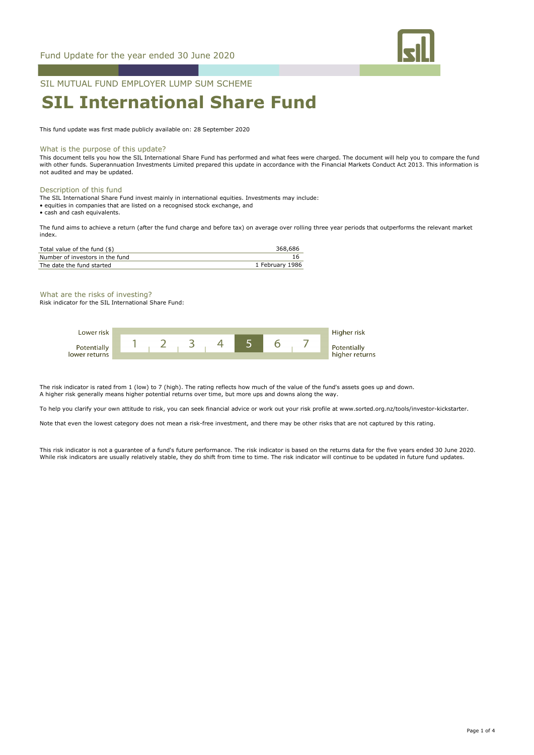

# SIL MUTUAL FUND EMPLOYER LUMP SUM SCHEME

# **SIL International Share Fund**

This fund update was first made publicly available on: 28 September 2020

#### What is the purpose of this update?

This document tells you how the SIL International Share Fund has performed and what fees were charged. The document will help you to compare the fund with other funds. Superannuation Investments Limited prepared this update in accordance with the Financial Markets Conduct Act 2013. This information is not audited and may be updated.

### Description of this fund

The SIL International Share Fund invest mainly in international equities. Investments may include:

- equities in companies that are listed on a recognised stock exchange, and
- cash and cash equivalents.

The fund aims to achieve a return (after the fund charge and before tax) on average over rolling three year periods that outperforms the relevant market index.

| Total value of the fund $(\$)$  | 368.686         |
|---------------------------------|-----------------|
| Number of investors in the fund |                 |
| The date the fund started       | 1 February 1986 |

# What are the risks of investing?

Risk indicator for the SIL International Share Fund:



The risk indicator is rated from 1 (low) to 7 (high). The rating reflects how much of the value of the fund's assets goes up and down. A higher risk generally means higher potential returns over time, but more ups and downs along the way.

To help you clarify your own attitude to risk, you can seek financial advice or work out your risk profile at www.sorted.org.nz/tools/investor-kickstarter.

Note that even the lowest category does not mean a risk-free investment, and there may be other risks that are not captured by this rating.

This risk indicator is not a guarantee of a fund's future performance. The risk indicator is based on the returns data for the five years ended 30 June 2020. While risk indicators are usually relatively stable, they do shift from time to time. The risk indicator will continue to be updated in future fund updates.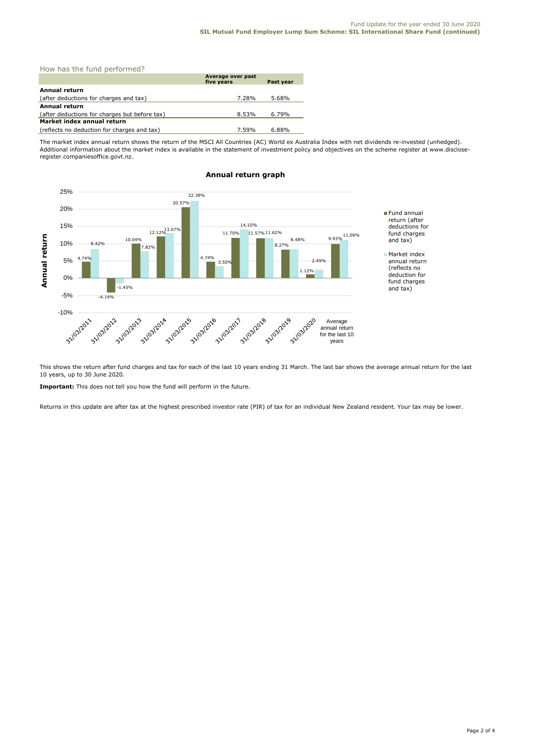| How has the fund performed?                   |                                 |           |
|-----------------------------------------------|---------------------------------|-----------|
|                                               | Average over past<br>five years | Past year |
| Annual return                                 |                                 |           |
| (after deductions for charges and tax)        | 7.28%                           | 5.68%     |
| Annual return                                 |                                 |           |
| (after deductions for charges but before tax) | 8.53%                           | $6.79\%$  |
| Market index annual return                    |                                 |           |
| (reflects no deduction for charges and tax)   | 7.59%                           | 6.88%     |

The market index annual return shows the return of the MSCI All Countries (AC) World ex Australia Index with net dividends re-invested (unhedged). Additional information about the market index is available in the statement of investment policy and objectives on the scheme register at www.discloseregister.companiesoffice.govt.nz.



# **Annual return graph**

This shows the return after fund charges and tax for each of the last 10 years ending 31 March. The last bar shows the average annual return for the last 10 years, up to 30 June 2020.

**Important:** This does not tell you how the fund will perform in the future.

Returns in this update are after tax at the highest prescribed investor rate (PIR) of tax for an individual New Zealand resident. Your tax may be lower.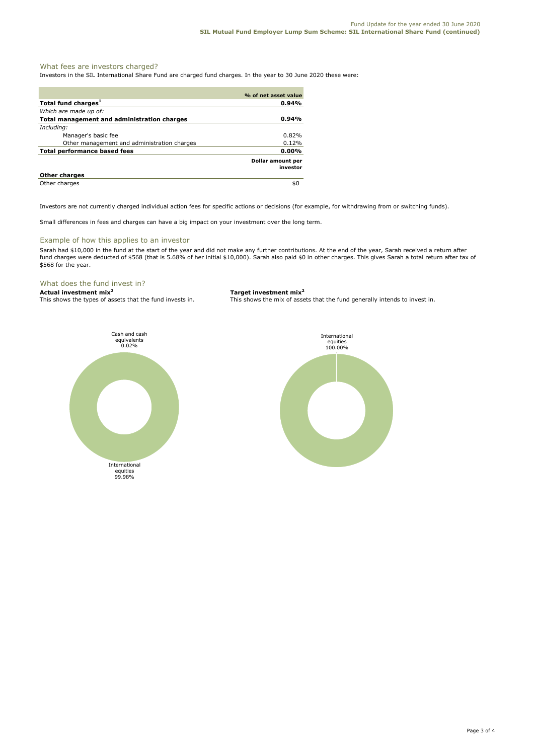# What fees are investors charged?

Investors in the SIL International Share Fund are charged fund charges. In the year to 30 June 2020 these were:

|                                             | % of net asset value                 |
|---------------------------------------------|--------------------------------------|
| Total fund charges <sup>1</sup>             | 0.94%                                |
| Which are made up of:                       |                                      |
| Total management and administration charges | 0.94%                                |
| Including:                                  |                                      |
| Manager's basic fee                         | $0.82\%$                             |
| Other management and administration charges | 0.12%                                |
| Total performance based fees                | $0.00\%$                             |
|                                             | <b>Dollar amount per</b><br>investor |
| <b>Other charges</b>                        |                                      |
| Other charges                               | \$0                                  |

Investors are not currently charged individual action fees for specific actions or decisions (for example, for withdrawing from or switching funds).

Small differences in fees and charges can have a big impact on your investment over the long term.

# Example of how this applies to an investor

Sarah had \$10,000 in the fund at the start of the year and did not make any further contributions. At the end of the year, Sarah received a return after fund charges were deducted of \$568 (that is 5.68% of her initial \$10,000). Sarah also paid \$0 in other charges. This gives Sarah a total return after tax of \$568 for the year.

# What does the fund invest in?

**Actual investment mix<sup>2</sup> <b>Target investment mix**<sup>2</sup> **This shows the types of assets that the fund invests in.** This shows the mix of asset

This shows the mix of assets that the fund generally intends to invest in.